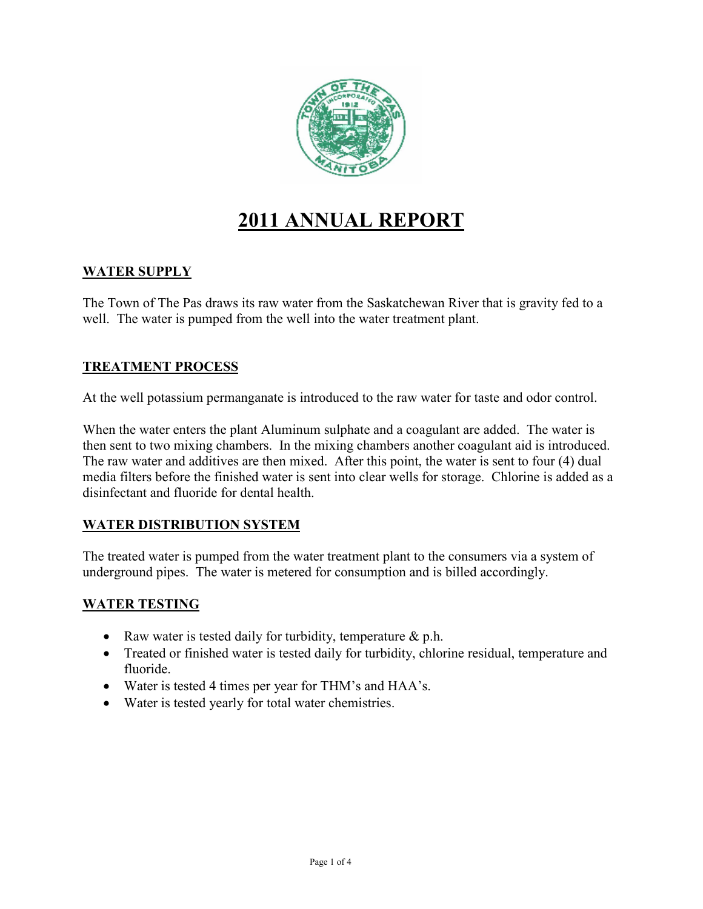

# **2011 ANNUAL REPORT**

#### **WATER SUPPLY**

The Town of The Pas draws its raw water from the Saskatchewan River that is gravity fed to a well. The water is pumped from the well into the water treatment plant.

#### **TREATMENT PROCESS**

At the well potassium permanganate is introduced to the raw water for taste and odor control.

When the water enters the plant Aluminum sulphate and a coagulant are added. The water is then sent to two mixing chambers. In the mixing chambers another coagulant aid is introduced. The raw water and additives are then mixed. After this point, the water is sent to four (4) dual media filters before the finished water is sent into clear wells for storage. Chlorine is added as a disinfectant and fluoride for dental health.

#### **WATER DISTRIBUTION SYSTEM**

The treated water is pumped from the water treatment plant to the consumers via a system of underground pipes. The water is metered for consumption and is billed accordingly.

#### **WATER TESTING**

- Raw water is tested daily for turbidity, temperature  $\&$  p.h.
- Treated or finished water is tested daily for turbidity, chlorine residual, temperature and fluoride.
- Water is tested 4 times per year for THM's and HAA's.
- Water is tested yearly for total water chemistries.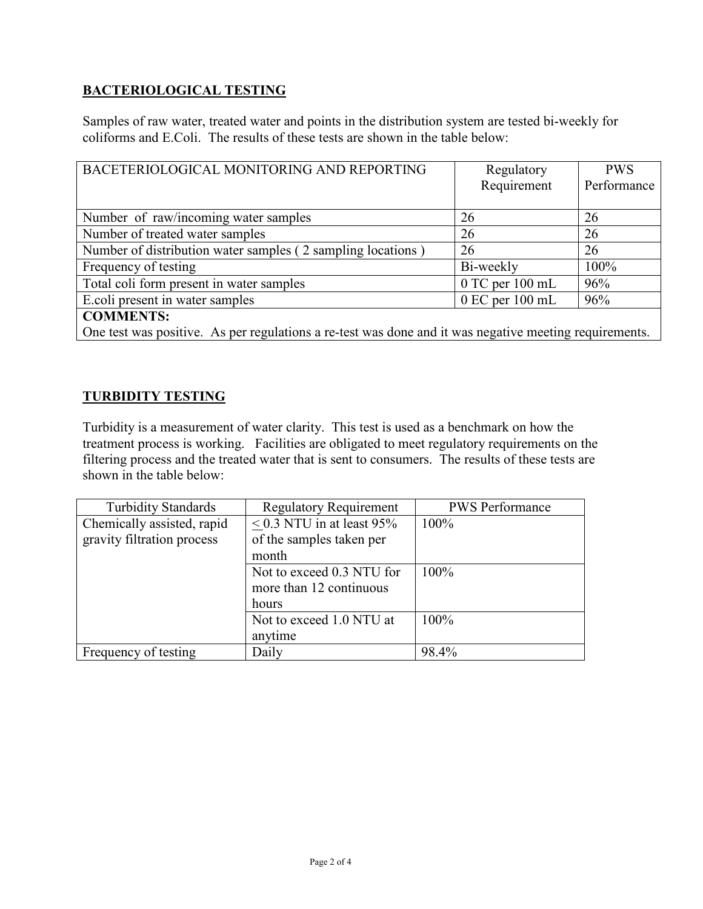# **BACTERIOLOGICAL TESTING**

Samples of raw water, treated water and points in the distribution system are tested bi-weekly for coliforms and E.Coli. The results of these tests are shown in the table below:

| BACETERIOLOGICAL MONITORING AND REPORTING                                                              | Regulatory          | <b>PWS</b>  |  |
|--------------------------------------------------------------------------------------------------------|---------------------|-------------|--|
|                                                                                                        | Requirement         | Performance |  |
|                                                                                                        |                     |             |  |
| Number of raw/incoming water samples                                                                   | 26                  | 26          |  |
| Number of treated water samples                                                                        | 26                  | 26          |  |
| Number of distribution water samples (2 sampling locations)                                            | 26                  | 26          |  |
| Frequency of testing                                                                                   | Bi-weekly           | 100%        |  |
| Total coli form present in water samples                                                               | $0$ TC per $100$ mL | 96%         |  |
| E.coli present in water samples                                                                        | $0$ EC per $100$ mL | 96%         |  |
| <b>COMMENTS:</b>                                                                                       |                     |             |  |
| One test was positive. As per regulations a re-test was done and it was negative meeting requirements. |                     |             |  |

#### **TURBIDITY TESTING**

Turbidity is a measurement of water clarity. This test is used as a benchmark on how the treatment process is working. Facilities are obligated to meet regulatory requirements on the filtering process and the treated water that is sent to consumers. The results of these tests are shown in the table below:

| <b>Turbidity Standards</b> | <b>Regulatory Requirement</b> | <b>PWS</b> Performance |
|----------------------------|-------------------------------|------------------------|
| Chemically assisted, rapid | $< 0.3$ NTU in at least 95%   | $100\%$                |
| gravity filtration process | of the samples taken per      |                        |
|                            | month                         |                        |
|                            | Not to exceed 0.3 NTU for     | 100%                   |
|                            | more than 12 continuous       |                        |
|                            | hours                         |                        |
|                            | Not to exceed 1.0 NTU at      | 100%                   |
|                            | anytime                       |                        |
| Frequency of testing       | Daily                         | 98.4%                  |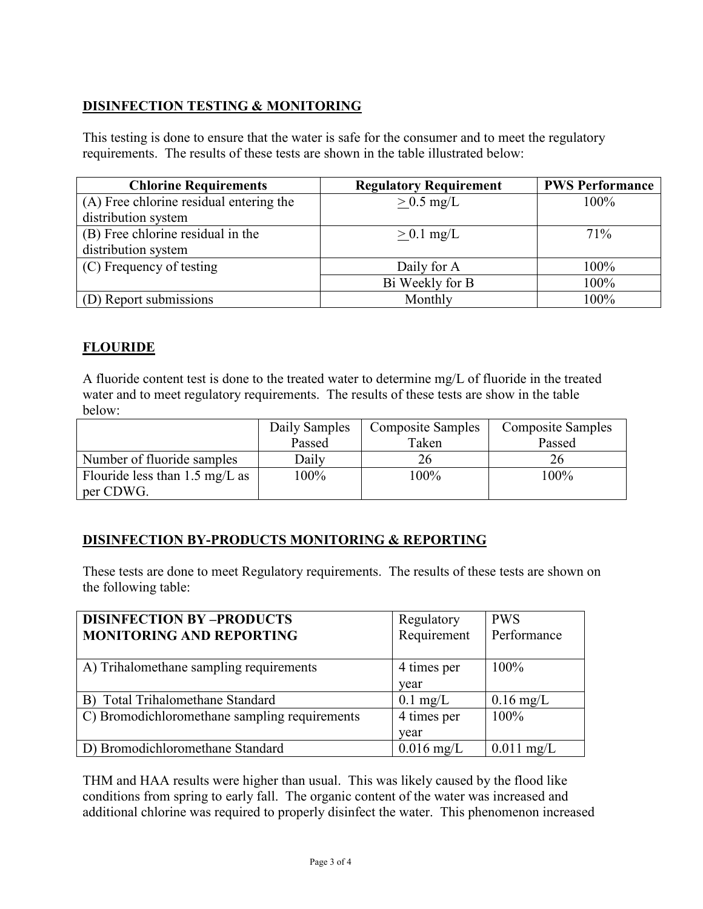# **DISINFECTION TESTING & MONITORING**

This testing is done to ensure that the water is safe for the consumer and to meet the regulatory requirements. The results of these tests are shown in the table illustrated below:

| <b>Chlorine Requirements</b>            | <b>Regulatory Requirement</b> | <b>PWS Performance</b> |
|-----------------------------------------|-------------------------------|------------------------|
| (A) Free chlorine residual entering the | $> 0.5$ mg/L                  | $100\%$                |
| distribution system                     |                               |                        |
| (B) Free chlorine residual in the       | $> 0.1$ mg/L                  | 71%                    |
| distribution system                     |                               |                        |
| (C) Frequency of testing                | Daily for A                   | 100%                   |
|                                         | Bi Weekly for B               | 100%                   |
| (D) Report submissions                  | Monthly                       | 100%                   |

# **FLOURIDE**

A fluoride content test is done to the treated water to determine mg/L of fluoride in the treated water and to meet regulatory requirements. The results of these tests are show in the table below:

|                                          | Daily Samples | <b>Composite Samples</b> | <b>Composite Samples</b> |
|------------------------------------------|---------------|--------------------------|--------------------------|
|                                          | Passed        | Taken                    | Passed                   |
| Number of fluoride samples               | Daily         |                          |                          |
| Flouride less than $1.5 \text{ mg/L}$ as | 100%          | 100%                     | 100%                     |
| per CDWG.                                |               |                          |                          |

## **DISINFECTION BY-PRODUCTS MONITORING & REPORTING**

These tests are done to meet Regulatory requirements. The results of these tests are shown on the following table:

| <b>DISINFECTION BY-PRODUCTS</b>               | Regulatory   | <b>PWS</b>   |
|-----------------------------------------------|--------------|--------------|
| <b>MONITORING AND REPORTING</b>               | Requirement  | Performance  |
|                                               |              |              |
| A) Trihalomethane sampling requirements       | 4 times per  | 100%         |
|                                               | year         |              |
| B) Total Trihalomethane Standard              | $0.1$ mg/L   | $0.16$ mg/L  |
| C) Bromodichloromethane sampling requirements | 4 times per  | $100\%$      |
|                                               | year         |              |
| D) Bromodichloromethane Standard              | $0.016$ mg/L | $0.011$ mg/L |

THM and HAA results were higher than usual. This was likely caused by the flood like conditions from spring to early fall. The organic content of the water was increased and additional chlorine was required to properly disinfect the water. This phenomenon increased